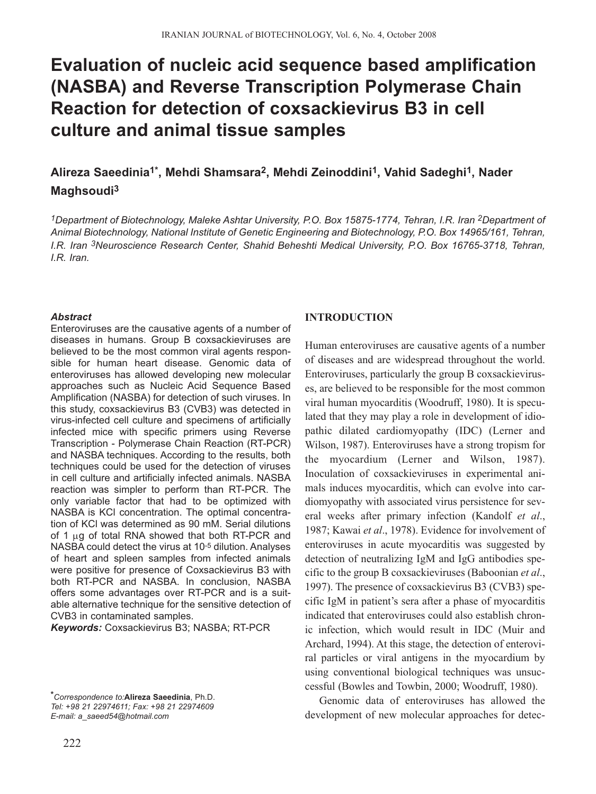# **Evaluation of nucleic acid sequence based amplification (NASBA) and Reverse Transcription Polymerase Chain Reaction for detection of coxsackievirus B3 in cell culture and animal tissue samples**

# **Alireza Saeedinia1\*, Mehdi Shamsara2, Mehdi Zeinoddini1, Vahid Sadeghi1, Nader Maghsoudi3**

*1Department of Biotechnology, Maleke Ashtar University, P.O. Box 15875-1774, Tehran, I.R. Iran 2Department of Animal Biotechnology, National Institute of Genetic Engineering and Biotechnology, P.O. Box 14965/161, Tehran, I.R. Iran 3Neuroscience Research Center, Shahid Beheshti Medical University, P.O. Box 16765-3718, Tehran, I.R. Iran.*

**INTRODUCTION**

#### *Abstract*

Enteroviruses are the causative agents of a number of diseases in humans. Group B coxsackieviruses are believed to be the most common viral agents responsible for human heart disease. Genomic data of enteroviruses has allowed developing new molecular approaches such as Nucleic Acid Sequence Based Amplification (NASBA) for detection of such viruses. In this study, coxsackievirus B3 (CVB3) was detected in virus-infected cell culture and specimens of artificially infected mice with specific primers using Reverse Transcription - Polymerase Chain Reaction (RT-PCR) and NASBA techniques. According to the results, both techniques could be used for the detection of viruses in cell culture and artificially infected animals. NASBA reaction was simpler to perform than RT-PCR. The only variable factor that had to be optimized with NASBA is KCl concentration. The optimal concentration of KCl was determined as 90 mM. Serial dilutions of 1  $\mu$ g of total RNA showed that both RT-PCR and NASBA could detect the virus at 10-5 dilution. Analyses of heart and spleen samples from infected animals were positive for presence of Coxsackievirus B3 with both RT-PCR and NASBA. In conclusion, NASBA offers some advantages over RT-PCR and is a suitable alternative technique for the sensitive detection of CVB3 in contaminated samples.

*Keywords:* Coxsackievirus B3; NASBA; RT-PCR

Enteroviruses, particularly the group B coxsackieviruses, are believed to be responsible for the most common viral human myocarditis (Woodruff, 1980). It is speculated that they may play a role in development of idiopathic dilated cardiomyopathy (IDC) (Lerner and Wilson, 1987). Enteroviruses have a strong tropism for the myocardium (Lerner and Wilson, 1987). Inoculation of coxsackieviruses in experimental animals induces myocarditis, which can evolve into cardiomyopathy with associated virus persistence for several weeks after primary infection (Kandolf *et al*., 1987; Kawai *et al*., 1978). Evidence for involvement of enteroviruses in acute myocarditis was suggested by detection of neutralizing IgM and IgG antibodies specific to the group B coxsackieviruses (Baboonian *et al*., 1997). The presence of coxsackievirus B3 (CVB3) specific IgM in patient's sera after a phase of myocarditis indicated that enteroviruses could also establish chronic infection, which would result in IDC (Muir and Archard, 1994). At this stage, the detection of enteroviral particles or viral antigens in the myocardium by using conventional biological techniques was unsuccessful (Bowles and Towbin, 2000; Woodruff, 1980).

Human enteroviruses are causative agents of a number of diseases and are widespread throughout the world.

Genomic data of enteroviruses has allowed the development of new molecular approaches for detec-

*<sup>\*</sup>Correspondence to:***Alireza Saeedinia**, Ph.D. *Tel: +98 21 22974611; Fax: +98 21 22974609 E-mail: a\_saeed54@hotmail.com*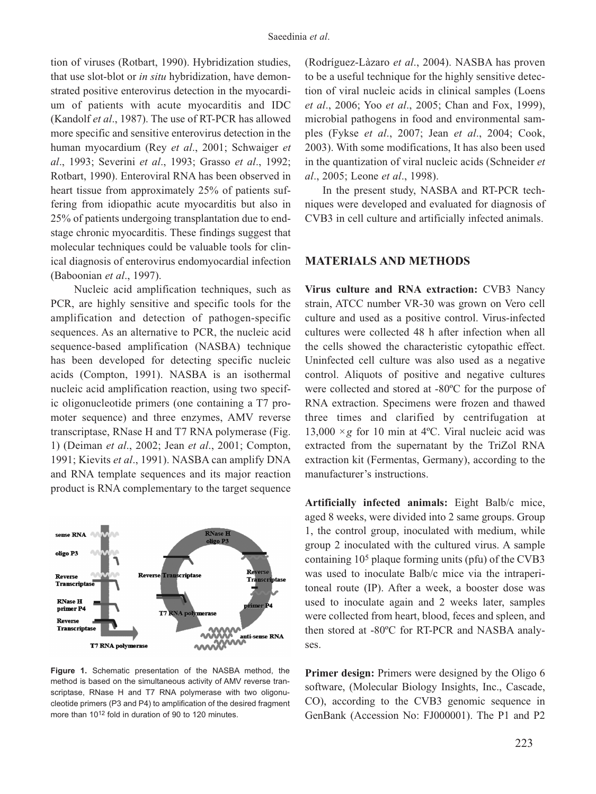tion of viruses (Rotbart, 1990). Hybridization studies, that use slot-blot or *in situ* hybridization, have demonstrated positive enterovirus detection in the myocardium of patients with acute myocarditis and IDC (Kandolf *et al*., 1987). The use of RT-PCR has allowed more specific and sensitive enterovirus detection in the human myocardium (Rey *et al*., 2001; Schwaiger *et al*., 1993; Severini *et al*., 1993; Grasso *et al*., 1992; Rotbart, 1990). Enteroviral RNA has been observed in heart tissue from approximately 25% of patients suffering from idiopathic acute myocarditis but also in 25% of patients undergoing transplantation due to endstage chronic myocarditis. These findings suggest that molecular techniques could be valuable tools for clinical diagnosis of enterovirus endomyocardial infection (Baboonian *et al*., 1997).

Nucleic acid amplification techniques, such as PCR, are highly sensitive and specific tools for the amplification and detection of pathogen-specific sequences. As an alternative to PCR, the nucleic acid sequence-based amplification (NASBA) technique has been developed for detecting specific nucleic acids (Compton, 1991). NASBA is an isothermal nucleic acid amplification reaction, using two specific oligonucleotide primers (one containing a T7 promoter sequence) and three enzymes, AMV reverse transcriptase, RNase H and T7 RNA polymerase (Fig. 1) (Deiman *et al*., 2002; Jean *et al*., 2001; Compton, 1991; Kievits *et al*., 1991). NASBA can amplify DNA and RNA template sequences and its major reaction product is RNA complementary to the target sequence



**Figure 1.** Schematic presentation of the NASBA method, the method is based on the simultaneous activity of AMV reverse transcriptase, RNase H and T7 RNA polymerase with two oligonucleotide primers (P3 and P4) to amplification of the desired fragment more than 1012 fold in duration of 90 to 120 minutes.

(Rodríguez-Làzaro *et al*., 2004). NASBA has proven to be a useful technique for the highly sensitive detection of viral nucleic acids in clinical samples (Loens *et al*., 2006; Yoo *et al*., 2005; Chan and Fox, 1999), microbial pathogens in food and environmental samples (Fykse *et al*., 2007; Jean *et al*., 2004; Cook, 2003). With some modifications, It has also been used in the quantization of viral nucleic acids (Schneider *et al*., 2005; Leone *et al*., 1998).

In the present study, NASBA and RT-PCR techniques were developed and evaluated for diagnosis of CVB3 in cell culture and artificially infected animals.

#### **MATERIALS AND METHODS**

**Virus culture and RNA extraction:** CVB3 Nancy strain, ATCC number VR-30 was grown on Vero cell culture and used as a positive control. Virus-infected cultures were collected 48 h after infection when all the cells showed the characteristic cytopathic effect. Uninfected cell culture was also used as a negative control. Aliquots of positive and negative cultures were collected and stored at -80ºC for the purpose of RNA extraction. Specimens were frozen and thawed three times and clarified by centrifugation at 13,000  $\times$ g for 10 min at 4<sup>o</sup>C. Viral nucleic acid was extracted from the supernatant by the TriZol RNA extraction kit (Fermentas, Germany), according to the manufacturer's instructions.

**Artificially infected animals:** Eight Balb/c mice, aged 8 weeks, were divided into 2 same groups. Group 1, the control group, inoculated with medium, while group 2 inoculated with the cultured virus. A sample containing 105 plaque forming units (pfu) of the CVB3 was used to inoculate Balb/c mice via the intraperitoneal route (IP). After a week, a booster dose was used to inoculate again and 2 weeks later, samples were collected from heart, blood, feces and spleen, and then stored at -80ºC for RT-PCR and NASBA analyses.

**Primer design:** Primers were designed by the Oligo 6 software, (Molecular Biology Insights, Inc., Cascade, CO), according to the CVB3 genomic sequence in GenBank (Accession No: FJ000001). The P1 and P2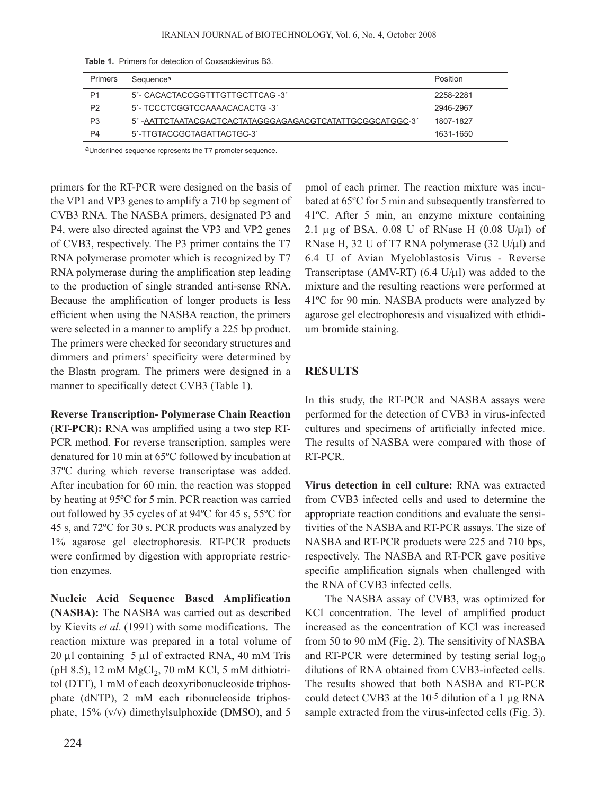| <b>Primers</b> | Sequence <sup>a</sup>                                   | Position  |
|----------------|---------------------------------------------------------|-----------|
| P1             | 5'- CACACTACCGGTTTGTTGCTTCAG -3'                        | 2258-2281 |
| P <sub>2</sub> | 5'- TCCCTCGGTCCAAAACACACTG -3'                          | 2946-2967 |
| P <sub>3</sub> | 5'-AATTCTAATACGACTCACTATAGGGAGAGACGTCATATTGCGGCATGGC-3' | 1807-1827 |
| P4             | 5'-TTGTACCGCTAGATTACTGC-3'                              | 1631-1650 |

**Table 1.** Primers for detection of Coxsackievirus B3.

aUnderlined sequence represents the T7 promoter sequence.

primers for the RT-PCR were designed on the basis of the VP1 and VP3 genes to amplify a 710 bp segment of CVB3 RNA. The NASBA primers, designated P3 and P4, were also directed against the VP3 and VP2 genes of CVB3, respectively. The P3 primer contains the T7 RNA polymerase promoter which is recognized by T7 RNA polymerase during the amplification step leading to the production of single stranded anti-sense RNA. Because the amplification of longer products is less efficient when using the NASBA reaction, the primers were selected in a manner to amplify a 225 bp product. The primers were checked for secondary structures and dimmers and primers' specificity were determined by the Blastn program. The primers were designed in a manner to specifically detect CVB3 (Table 1).

**Reverse Transcription- Polymerase Chain Reaction** (**RT-PCR):** RNA was amplified using a two step RT-PCR method. For reverse transcription, samples were denatured for 10 min at 65ºC followed by incubation at 37ºC during which reverse transcriptase was added. After incubation for 60 min, the reaction was stopped by heating at 95ºC for 5 min. PCR reaction was carried out followed by 35 cycles of at 94ºC for 45 s, 55ºC for 45 s, and 72ºC for 30 s. PCR products was analyzed by 1% agarose gel electrophoresis. RT-PCR products were confirmed by digestion with appropriate restriction enzymes.

**Nucleic Acid Sequence Based Amplification (NASBA):** The NASBA was carried out as described by Kievits *et al*. (1991) with some modifications. The reaction mixture was prepared in a total volume of 20 µl containing 5 µl of extracted RNA, 40 mM Tris (pH 8.5), 12 mM  $MgCl<sub>2</sub>$ , 70 mM KCl, 5 mM dithiotritol (DTT), 1 mM of each deoxyribonucleoside triphosphate (dNTP), 2 mM each ribonucleoside triphosphate, 15% (v/v) dimethylsulphoxide (DMSO), and 5

pmol of each primer. The reaction mixture was incubated at 65ºC for 5 min and subsequently transferred to 41ºC. After 5 min, an enzyme mixture containing 2.1 µg of BSA,  $0.08$  U of RNase H  $(0.08$  U/µl) of RNase H, 32 U of T7 RNA polymerase (32 U/ $\mu$ l) and 6.4 U of Avian Myeloblastosis Virus - Reverse Transcriptase (AMV-RT)  $(6.4 \text{ U/u}$ ) was added to the mixture and the resulting reactions were performed at 41ºC for 90 min. NASBA products were analyzed by agarose gel electrophoresis and visualized with ethidium bromide staining.

## **RESULTS**

In this study, the RT-PCR and NASBA assays were performed for the detection of CVB3 in virus-infected cultures and specimens of artificially infected mice. The results of NASBA were compared with those of RT-PCR.

**Virus detection in cell culture:** RNA was extracted from CVB3 infected cells and used to determine the appropriate reaction conditions and evaluate the sensitivities of the NASBA and RT-PCR assays. The size of NASBA and RT-PCR products were 225 and 710 bps, respectively. The NASBA and RT-PCR gave positive specific amplification signals when challenged with the RNA of CVB3 infected cells.

The NASBA assay of CVB3, was optimized for KCl concentration. The level of amplified product increased as the concentration of KCl was increased from 50 to 90 mM (Fig. 2). The sensitivity of NASBA and RT-PCR were determined by testing serial  $log_{10}$ dilutions of RNA obtained from CVB3-infected cells. The results showed that both NASBA and RT-PCR could detect CVB3 at the 10-5 dilution of a 1 µg RNA sample extracted from the virus-infected cells (Fig. 3).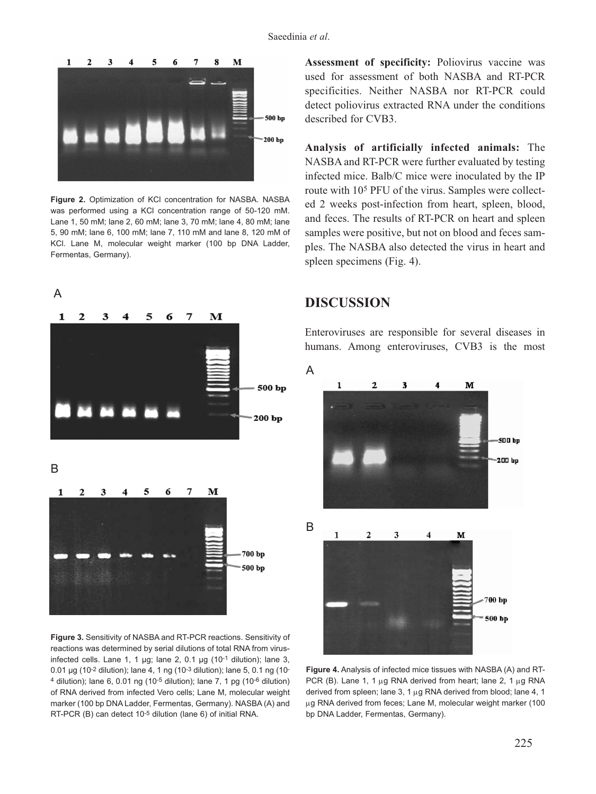

Figure 2. Optimization of KCI concentration for NASBA. NASBA was performed using a KCl concentration range of 50-120 mM. Lane 1, 50 mM; lane 2, 60 mM; lane 3, 70 mM; lane 4, 80 mM; lane 5, 90 mM; lane 6, 100 mM; lane 7, 110 mM and lane 8, 120 mM of KCl. Lane M, molecular weight marker (100 bp DNA Ladder, Fermentas, Germany).



**Figure 3.** Sensitivity of NASBA and RT-PCR reactions. Sensitivity of reactions was determined by serial dilutions of total RNA from virusinfected cells. Lane 1, 1  $\mu$ g; lane 2, 0.1  $\mu$ g (10<sup>-1</sup> dilution); lane 3, 0.01 µg (10-2 dilution); lane 4, 1 ng (10-3 dilution); lane 5, 0.1 ng (10-  $4$  dilution); lane 6, 0.01 ng (10<sup>-5</sup> dilution); lane 7, 1 pg (10<sup>-6</sup> dilution) of RNA derived from infected Vero cells; Lane M, molecular weight marker (100 bp DNA Ladder, Fermentas, Germany). NASBA (A) and RT-PCR (B) can detect 10-5 dilution (lane 6) of initial RNA.

**Assessment of specificity:** Poliovirus vaccine was used for assessment of both NASBA and RT-PCR specificities. Neither NASBA nor RT-PCR could detect poliovirus extracted RNA under the conditions described for CVB3.

**Analysis of artificially infected animals:** The NASBA and RT-PCR were further evaluated by testing infected mice. Balb/C mice were inoculated by the IP route with 105 PFU of the virus. Samples were collected 2 weeks post-infection from heart, spleen, blood, and feces. The results of RT-PCR on heart and spleen samples were positive, but not on blood and feces samples. The NASBA also detected the virus in heart and spleen specimens (Fig. 4).

### **DISCUSSION**

Enteroviruses are responsible for several diseases in humans. Among enteroviruses, CVB3 is the most



**Figure 4.** Analysis of infected mice tissues with NASBA (A) and RT-PCR (B). Lane 1, 1  $\mu$ g RNA derived from heart; lane 2, 1  $\mu$ g RNA derived from spleen; lane 3, 1  $\mu$ g RNA derived from blood; lane 4, 1 µg RNA derived from feces; Lane M, molecular weight marker (100 bp DNA Ladder, Fermentas, Germany).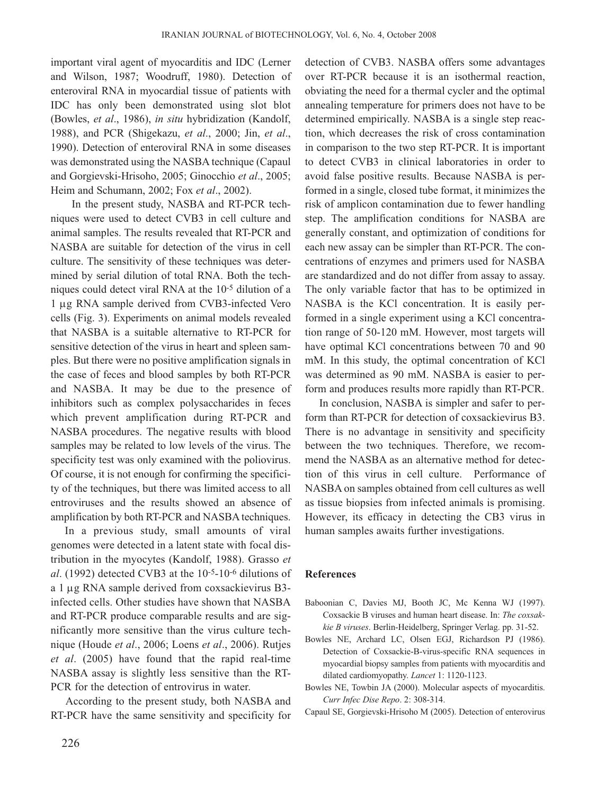important viral agent of myocarditis and IDC (Lerner and Wilson, 1987; Woodruff, 1980). Detection of enteroviral RNA in myocardial tissue of patients with IDC has only been demonstrated using slot blot (Bowles, *et al*., 1986), *in situ* hybridization (Kandolf, 1988), and PCR (Shigekazu, *et al*., 2000; Jin, *et al*., 1990). Detection of enteroviral RNA in some diseases was demonstrated using the NASBA technique (Capaul and Gorgievski-Hrisoho, 2005; Ginocchio *et al*., 2005; Heim and Schumann, 2002; Fox *et al*., 2002).

In the present study, NASBA and RT-PCR techniques were used to detect CVB3 in cell culture and animal samples. The results revealed that RT-PCR and NASBA are suitable for detection of the virus in cell culture. The sensitivity of these techniques was determined by serial dilution of total RNA. Both the techniques could detect viral RNA at the 10-5 dilution of a 1 µg RNA sample derived from CVB3-infected Vero cells (Fig. 3). Experiments on animal models revealed that NASBA is a suitable alternative to RT-PCR for sensitive detection of the virus in heart and spleen samples. But there were no positive amplification signals in the case of feces and blood samples by both RT-PCR and NASBA. It may be due to the presence of inhibitors such as complex polysaccharides in feces which prevent amplification during RT-PCR and NASBA procedures. The negative results with blood samples may be related to low levels of the virus. The specificity test was only examined with the poliovirus. Of course, it is not enough for confirming the specificity of the techniques, but there was limited access to all entroviruses and the results showed an absence of amplification by both RT-PCR and NASBA techniques.

In a previous study, small amounts of viral genomes were detected in a latent state with focal distribution in the myocytes (Kandolf, 1988). Grasso *et al*. (1992) detected CVB3 at the 10-5-10-6 dilutions of a 1 µg RNA sample derived from coxsackievirus B3 infected cells. Other studies have shown that NASBA and RT-PCR produce comparable results and are significantly more sensitive than the virus culture technique (Houde *et al*., 2006; Loens *et al*., 2006). Rutjes *et al*. (2005) have found that the rapid real-time NASBA assay is slightly less sensitive than the RT-PCR for the detection of entrovirus in water.

According to the present study, both NASBA and RT-PCR have the same sensitivity and specificity for detection of CVB3. NASBA offers some advantages over RT-PCR because it is an isothermal reaction, obviating the need for a thermal cycler and the optimal annealing temperature for primers does not have to be determined empirically. NASBA is a single step reaction, which decreases the risk of cross contamination in comparison to the two step RT-PCR. It is important to detect CVB3 in clinical laboratories in order to avoid false positive results. Because NASBA is performed in a single, closed tube format, it minimizes the risk of amplicon contamination due to fewer handling step. The amplification conditions for NASBA are generally constant, and optimization of conditions for each new assay can be simpler than RT-PCR. The concentrations of enzymes and primers used for NASBA are standardized and do not differ from assay to assay. The only variable factor that has to be optimized in NASBA is the KCl concentration. It is easily performed in a single experiment using a KCl concentration range of 50-120 mM. However, most targets will have optimal KCl concentrations between 70 and 90 mM. In this study, the optimal concentration of KCl was determined as 90 mM. NASBA is easier to perform and produces results more rapidly than RT-PCR.

In conclusion, NASBA is simpler and safer to perform than RT-PCR for detection of coxsackievirus B3. There is no advantage in sensitivity and specificity between the two techniques. Therefore, we recommend the NASBA as an alternative method for detection of this virus in cell culture. Performance of NASBA on samples obtained from cell cultures as well as tissue biopsies from infected animals is promising. However, its efficacy in detecting the CB3 virus in human samples awaits further investigations.

#### **References**

- Baboonian C, Davies MJ, Booth JC, Mc Kenna WJ (1997). Coxsackie B viruses and human heart disease. In: *The coxsakkie B viruses*. Berlin-Heidelberg, Springer Verlag. pp. 31-52.
- Bowles NE, Archard LC, Olsen EGJ, Richardson PJ (1986). Detection of Coxsackie-B-virus-specific RNA sequences in myocardial biopsy samples from patients with myocarditis and dilated cardiomyopathy. *Lancet* 1: 1120-1123.
- Bowles NE, Towbin JA (2000). Molecular aspects of myocarditis. *Curr Infec Dise Repo*. 2: 308-314.
- Capaul SE, Gorgievski-Hrisoho M (2005). Detection of enterovirus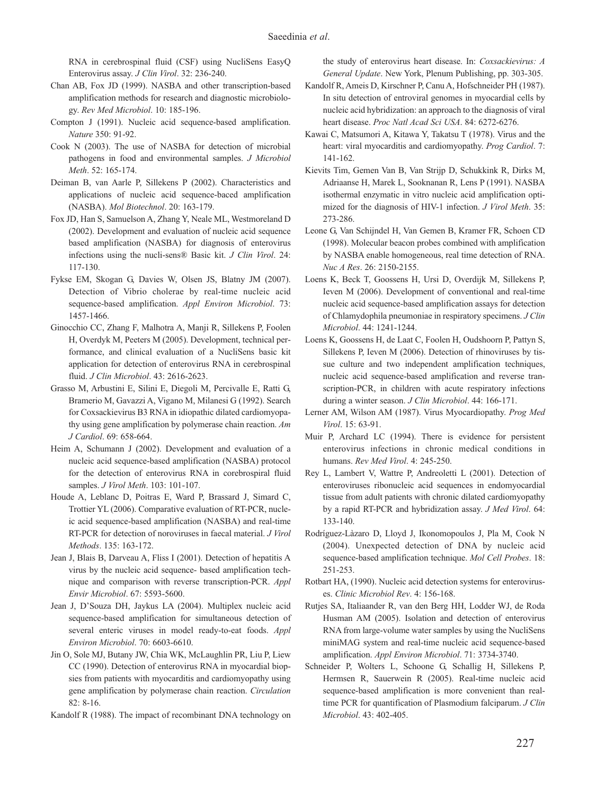RNA in cerebrospinal fluid (CSF) using NucliSens EasyQ Enterovirus assay. *J Clin Virol*. 32: 236-240.

- Chan AB, Fox JD (1999). NASBA and other transcription-based amplification methods for research and diagnostic microbiology. *Rev Med Microbiol*. 10: 185-196.
- Compton J (1991). Nucleic acid sequence-based amplification. *Nature* 350: 91-92.
- Cook N (2003). The use of NASBA for detection of microbial pathogens in food and environmental samples. *J Microbiol Meth*. 52: 165-174.
- Deiman B, van Aarle P, Sillekens P (2002). Characteristics and applications of nucleic acid sequence-baced amplification (NASBA). *Mol Biotechnol*. 20: 163-179.
- Fox JD, Han S, Samuelson A, Zhang Y, Neale ML, Westmoreland D (2002). Development and evaluation of nucleic acid sequence based amplification (NASBA) for diagnosis of enterovirus infections using the nucli-sens® Basic kit. *J Clin Virol*. 24: 117-130.
- Fykse EM, Skogan G, Davies W, Olsen JS, Blatny JM (2007). Detection of Vibrio cholerae by real-time nucleic acid sequence-based amplification. *Appl Environ Microbiol*. 73: 1457-1466.
- Ginocchio CC, Zhang F, Malhotra A, Manji R, Sillekens P, Foolen H, Overdyk M, Peeters M (2005). Development, technical performance, and clinical evaluation of a NucliSens basic kit application for detection of enterovirus RNA in cerebrospinal fluid. *J Clin Microbiol*. 43: 2616-2623.
- Grasso M, Arbustini E, Silini E, Diegoli M, Percivalle E, Ratti G, Bramerio M, Gavazzi A, Vigano M, Milanesi G (1992). Search for Coxsackievirus B3 RNA in idiopathic dilated cardiomyopathy using gene amplification by polymerase chain reaction. *Am J Cardiol*. 69: 658-664.
- Heim A, Schumann J (2002). Development and evaluation of a nucleic acid sequence-based amplification (NASBA) protocol for the detection of enterovirus RNA in corebrospiral fluid samples. *J Virol Meth*. 103: 101-107.
- Houde A, Leblanc D, Poitras E, Ward P, Brassard J, Simard C, Trottier YL (2006). Comparative evaluation of RT-PCR, nucleic acid sequence-based amplification (NASBA) and real-time RT-PCR for detection of noroviruses in faecal material. *J Virol Methods*. 135: 163-172.
- Jean J, Blais B, Darveau A, Fliss I (2001). Detection of hepatitis A virus by the nucleic acid sequence- based amplification technique and comparison with reverse transcription-PCR. *Appl Envir Microbiol*. 67: 5593-5600.
- Jean J, D'Souza DH, Jaykus LA (2004). Multiplex nucleic acid sequence-based amplification for simultaneous detection of several enteric viruses in model ready-to-eat foods. *Appl Environ Microbiol*. 70: 6603-6610.
- Jin O, Sole MJ, Butany JW, Chia WK, McLaughlin PR, Liu P, Liew CC (1990). Detection of enterovirus RNA in myocardial biopsies from patients with myocarditis and cardiomyopathy using gene amplification by polymerase chain reaction. *Circulation* 82: 8-16.
- Kandolf R (1988). The impact of recombinant DNA technology on

the study of enterovirus heart disease. In: *Coxsackievirus: A General Update*. New York, Plenum Publishing, pp. 303-305.

- Kandolf R, Ameis D, Kirschner P, Canu A, Hofschneider PH (1987). In situ detection of entroviral genomes in myocardial cells by nucleic acid hybridization: an approach to the diagnosis of viral heart disease. *Proc Natl Acad Sci USA*. 84: 6272-6276.
- Kawai C, Matsumori A, Kitawa Y, Takatsu T (1978). Virus and the heart: viral myocarditis and cardiomyopathy. *Prog Cardiol*. 7: 141-162.
- Kievits Tim, Gemen Van B, Van Strijp D, Schukkink R, Dirks M, Adriaanse H, Marek L, Sooknanan R, Lens P (1991). NASBA isothermal enzymatic in vitro nucleic acid amplification optimized for the diagnosis of HIV-1 infection. *J Virol Meth*. 35: 273-286.
- Leone G, Van Schijndel H, Van Gemen B, Kramer FR, Schoen CD (1998). Molecular beacon probes combined with amplification by NASBA enable homogeneous, real time detection of RNA. *Nuc A Res*. 26: 2150-2155.
- Loens K, Beck T, Goossens H, Ursi D, Overdijk M, Sillekens P, Ieven M (2006). Development of conventional and real-time nucleic acid sequence-based amplification assays for detection of Chlamydophila pneumoniae in respiratory specimens. *J Clin Microbiol*. 44: 1241-1244.
- Loens K, Goossens H, de Laat C, Foolen H, Oudshoorn P, Pattyn S, Sillekens P, Ieven M (2006). Detection of rhinoviruses by tissue culture and two independent amplification techniques, nucleic acid sequence-based amplification and reverse transcription-PCR, in children with acute respiratory infections during a winter season. *J Clin Microbiol*. 44: 166-171.
- Lerner AM, Wilson AM (1987). Virus Myocardiopathy. *Prog Med Virol*. 15: 63-91.
- Muir P, Archard LC (1994). There is evidence for persistent enterovirus infections in chronic medical conditions in humans. *Rev Med Virol*. 4: 245-250.
- Rey L, Lambert V, Wattre P, Andreoletti L (2001). Detection of enteroviruses ribonucleic acid sequences in endomyocardial tissue from adult patients with chronic dilated cardiomyopathy by a rapid RT-PCR and hybridization assay. *J Med Virol*. 64: 133-140.
- Rodríguez-Làzaro D, Lloyd J, Ikonomopoulos J, Pla M, Cook N (2004). Unexpected detection of DNA by nucleic acid sequence-based amplification technique. *Mol Cell Probes*. 18: 251-253.
- Rotbart HA, (1990). Nucleic acid detection systems for enteroviruses. *Clinic Microbiol Rev*. 4: 156-168.
- Rutjes SA, Italiaander R, van den Berg HH, Lodder WJ, de Roda Husman AM (2005). Isolation and detection of enterovirus RNA from large-volume water samples by using the NucliSens miniMAG system and real-time nucleic acid sequence-based amplification. *Appl Environ Microbiol*. 71: 3734-3740.
- Schneider P, Wolters L, Schoone G, Schallig H, Sillekens P, Hermsen R, Sauerwein R (2005). Real-time nucleic acid sequence-based amplification is more convenient than realtime PCR for quantification of Plasmodium falciparum. *J Clin Microbiol*. 43: 402-405.